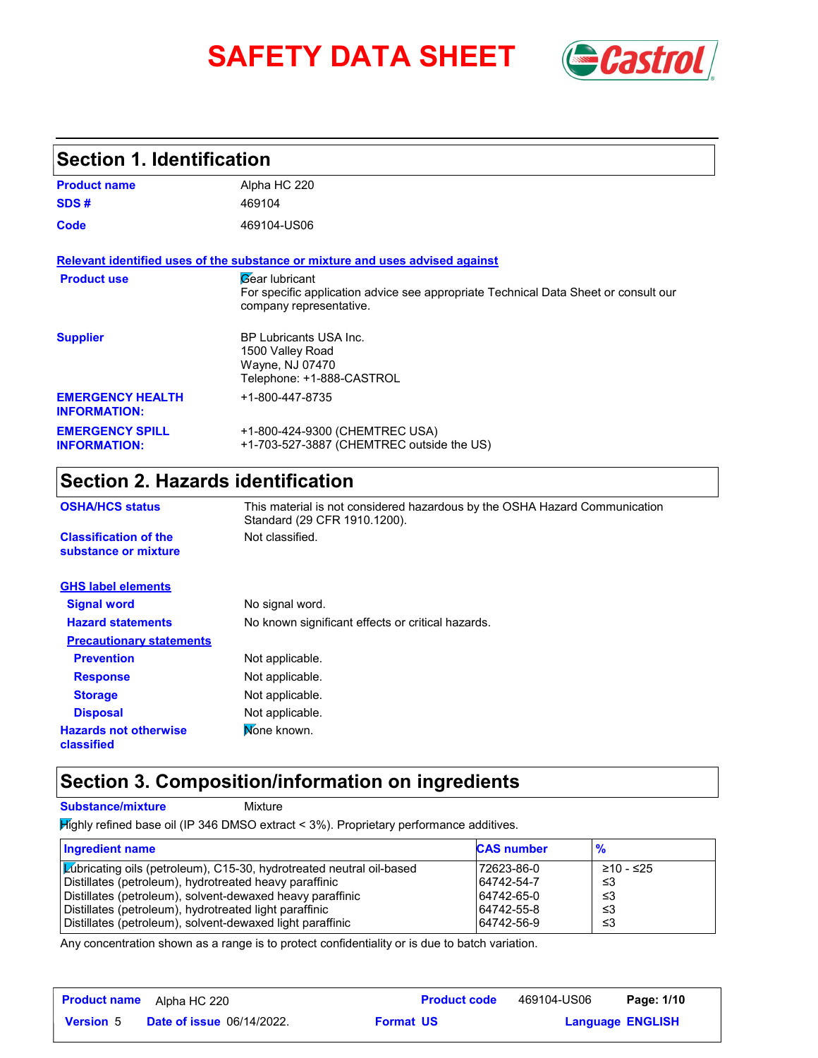# **SAFETY DATA SHEET** *Castrol*



## **Section 1. Identification**

| <b>Product name</b>                            | Alpha HC 220                                                                                                                                   |
|------------------------------------------------|------------------------------------------------------------------------------------------------------------------------------------------------|
| SDS#                                           | 469104                                                                                                                                         |
| Code                                           | 469104-US06                                                                                                                                    |
|                                                | Relevant identified uses of the substance or mixture and uses advised against                                                                  |
| <b>Product use</b>                             | <b><i>Gear lubricant</i></b><br>For specific application advice see appropriate Technical Data Sheet or consult our<br>company representative. |
| <b>Supplier</b>                                | <b>BP Lubricants USA Inc.</b><br>1500 Valley Road<br>Wayne, NJ 07470<br>Telephone: +1-888-CASTROL                                              |
| <b>EMERGENCY HEALTH</b><br><b>INFORMATION:</b> | +1-800-447-8735                                                                                                                                |
| <b>EMERGENCY SPILL</b><br><b>INFORMATION:</b>  | +1-800-424-9300 (CHEMTREC USA)<br>+1-703-527-3887 (CHEMTREC outside the US)                                                                    |

## **Section 2. Hazards identification**

| <b>OSHA/HCS status</b>                               | This material is not considered hazardous by the OSHA Hazard Communication<br>Standard (29 CFR 1910.1200). |  |  |  |  |
|------------------------------------------------------|------------------------------------------------------------------------------------------------------------|--|--|--|--|
| <b>Classification of the</b><br>substance or mixture | Not classified.                                                                                            |  |  |  |  |
| <b>GHS label elements</b>                            |                                                                                                            |  |  |  |  |
| <b>Signal word</b>                                   | No signal word.                                                                                            |  |  |  |  |
| <b>Hazard statements</b>                             | No known significant effects or critical hazards.                                                          |  |  |  |  |
| <b>Precautionary statements</b>                      |                                                                                                            |  |  |  |  |
| <b>Prevention</b>                                    | Not applicable.                                                                                            |  |  |  |  |
| <b>Response</b>                                      | Not applicable.                                                                                            |  |  |  |  |
| <b>Storage</b>                                       | Not applicable.                                                                                            |  |  |  |  |
| <b>Disposal</b>                                      | Not applicable.                                                                                            |  |  |  |  |
| <b>Hazards not otherwise</b><br>classified           | Mone known.                                                                                                |  |  |  |  |

## **Section 3. Composition/information on ingredients**

**Substance/mixture Mixture** 

Highly refined base oil (IP 346 DMSO extract < 3%). Proprietary performance additives.

| Ingredient name                                                             | <b>CAS number</b> |           |
|-----------------------------------------------------------------------------|-------------------|-----------|
| <b>Zubricating oils (petroleum), C15-30, hydrotreated neutral oil-based</b> | 72623-86-0        | ≥10 - ≤25 |
| Distillates (petroleum), hydrotreated heavy paraffinic                      | 64742-54-7        | -≤3       |
| Distillates (petroleum), solvent-dewaxed heavy paraffinic                   | 64742-65-0        | -≤3       |
| Distillates (petroleum), hydrotreated light paraffinic                      | 64742-55-8        | -≤3       |
| Distillates (petroleum), solvent-dewaxed light paraffinic                   | 64742-56-9        | ו≥ ≤      |

Any concentration shown as a range is to protect confidentiality or is due to batch variation.

| <b>Product name</b> | Alpha HC 220                     |                  | <b>Product code</b> | 469104-US06 | Page: 1/10              |  |
|---------------------|----------------------------------|------------------|---------------------|-------------|-------------------------|--|
| <b>Version 5</b>    | <b>Date of issue 06/14/2022.</b> | <b>Format US</b> |                     |             | <b>Language ENGLISH</b> |  |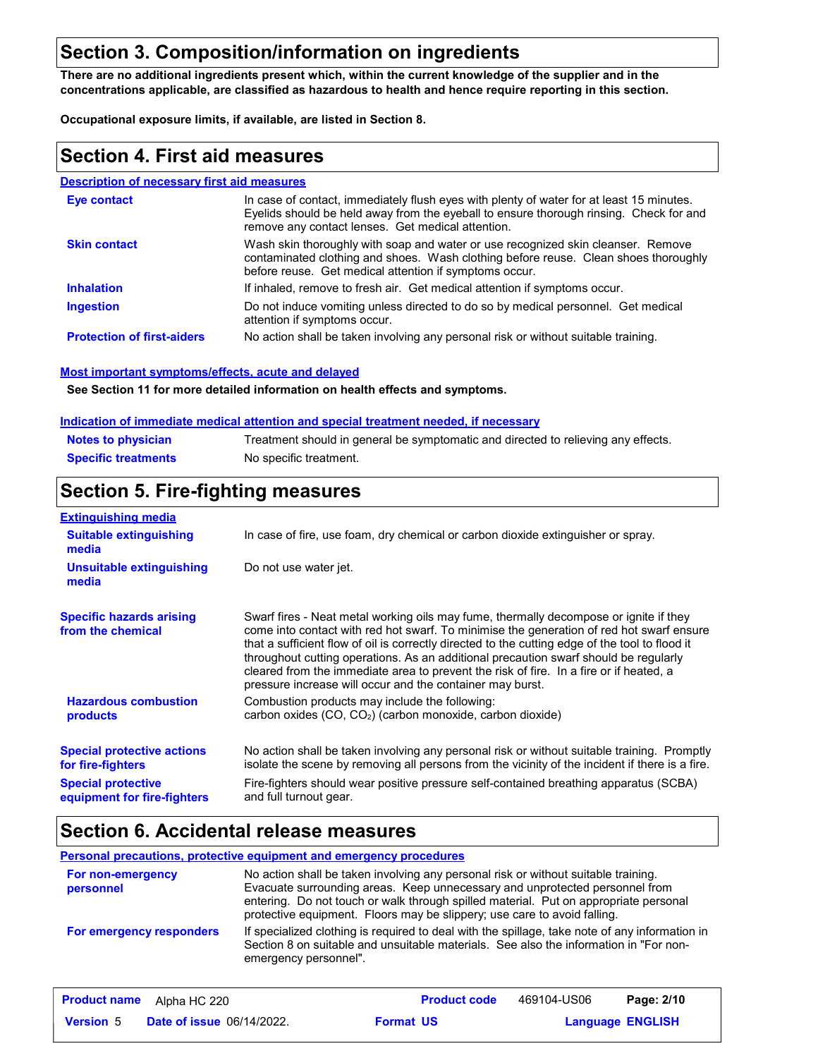## **Section 3. Composition/information on ingredients**

**There are no additional ingredients present which, within the current knowledge of the supplier and in the concentrations applicable, are classified as hazardous to health and hence require reporting in this section.**

**Occupational exposure limits, if available, are listed in Section 8.**

## **Section 4. First aid measures**

#### **Description of necessary first aid measures**

| Eye contact                       | In case of contact, immediately flush eyes with plenty of water for at least 15 minutes.<br>Eyelids should be held away from the eyeball to ensure thorough rinsing. Check for and<br>remove any contact lenses. Get medical attention. |
|-----------------------------------|-----------------------------------------------------------------------------------------------------------------------------------------------------------------------------------------------------------------------------------------|
| <b>Skin contact</b>               | Wash skin thoroughly with soap and water or use recognized skin cleanser. Remove<br>contaminated clothing and shoes. Wash clothing before reuse. Clean shoes thoroughly<br>before reuse. Get medical attention if symptoms occur.       |
| <b>Inhalation</b>                 | If inhaled, remove to fresh air. Get medical attention if symptoms occur.                                                                                                                                                               |
| <b>Ingestion</b>                  | Do not induce vomiting unless directed to do so by medical personnel. Get medical<br>attention if symptoms occur.                                                                                                                       |
| <b>Protection of first-aiders</b> | No action shall be taken involving any personal risk or without suitable training.                                                                                                                                                      |

#### **Most important symptoms/effects, acute and delayed**

**See Section 11 for more detailed information on health effects and symptoms.**

#### **Indication of immediate medical attention and special treatment needed, if necessary**

| <b>Notes to physician</b>  | Treatment should in general be symptomatic and directed to relieving any effects. |
|----------------------------|-----------------------------------------------------------------------------------|
| <b>Specific treatments</b> | No specific treatment.                                                            |

## **Section 5. Fire-fighting measures**

| <b>Extinguishing media</b>                               |                                                                                                                                                                                                                                                                                                                                                                                                                                                                                                                                     |  |  |
|----------------------------------------------------------|-------------------------------------------------------------------------------------------------------------------------------------------------------------------------------------------------------------------------------------------------------------------------------------------------------------------------------------------------------------------------------------------------------------------------------------------------------------------------------------------------------------------------------------|--|--|
| <b>Suitable extinguishing</b><br>media                   | In case of fire, use foam, dry chemical or carbon dioxide extinguisher or spray.                                                                                                                                                                                                                                                                                                                                                                                                                                                    |  |  |
| Unsuitable extinguishing<br>media                        | Do not use water jet.                                                                                                                                                                                                                                                                                                                                                                                                                                                                                                               |  |  |
| <b>Specific hazards arising</b><br>from the chemical     | Swarf fires - Neat metal working oils may fume, thermally decompose or ignite if they<br>come into contact with red hot swarf. To minimise the generation of red hot swarf ensure<br>that a sufficient flow of oil is correctly directed to the cutting edge of the tool to flood it<br>throughout cutting operations. As an additional precaution swarf should be regularly<br>cleared from the immediate area to prevent the risk of fire. In a fire or if heated, a<br>pressure increase will occur and the container may burst. |  |  |
| <b>Hazardous combustion</b><br>products                  | Combustion products may include the following:<br>carbon oxides $(CO, CO2)$ (carbon monoxide, carbon dioxide)                                                                                                                                                                                                                                                                                                                                                                                                                       |  |  |
| <b>Special protective actions</b><br>for fire-fighters   | No action shall be taken involving any personal risk or without suitable training. Promptly<br>isolate the scene by removing all persons from the vicinity of the incident if there is a fire.                                                                                                                                                                                                                                                                                                                                      |  |  |
| <b>Special protective</b><br>equipment for fire-fighters | Fire-fighters should wear positive pressure self-contained breathing apparatus (SCBA)<br>and full turnout gear.                                                                                                                                                                                                                                                                                                                                                                                                                     |  |  |

## **Section 6. Accidental release measures**

#### **Personal precautions, protective equipment and emergency procedures**

| For non-emergency<br>personnel | No action shall be taken involving any personal risk or without suitable training.<br>Evacuate surrounding areas. Keep unnecessary and unprotected personnel from<br>entering. Do not touch or walk through spilled material. Put on appropriate personal<br>protective equipment. Floors may be slippery; use care to avoid falling. |
|--------------------------------|---------------------------------------------------------------------------------------------------------------------------------------------------------------------------------------------------------------------------------------------------------------------------------------------------------------------------------------|
| For emergency responders       | If specialized clothing is required to deal with the spillage, take note of any information in<br>Section 8 on suitable and unsuitable materials. See also the information in "For non-<br>emergency personnel".                                                                                                                      |

|                  | <b>Product name</b> Alpha HC 220 |                  | <b>Product code</b> | 469104-US06             | Page: 2/10 |
|------------------|----------------------------------|------------------|---------------------|-------------------------|------------|
| <b>Version</b> 5 | <b>Date of issue 06/14/2022.</b> | <b>Format US</b> |                     | <b>Language ENGLISH</b> |            |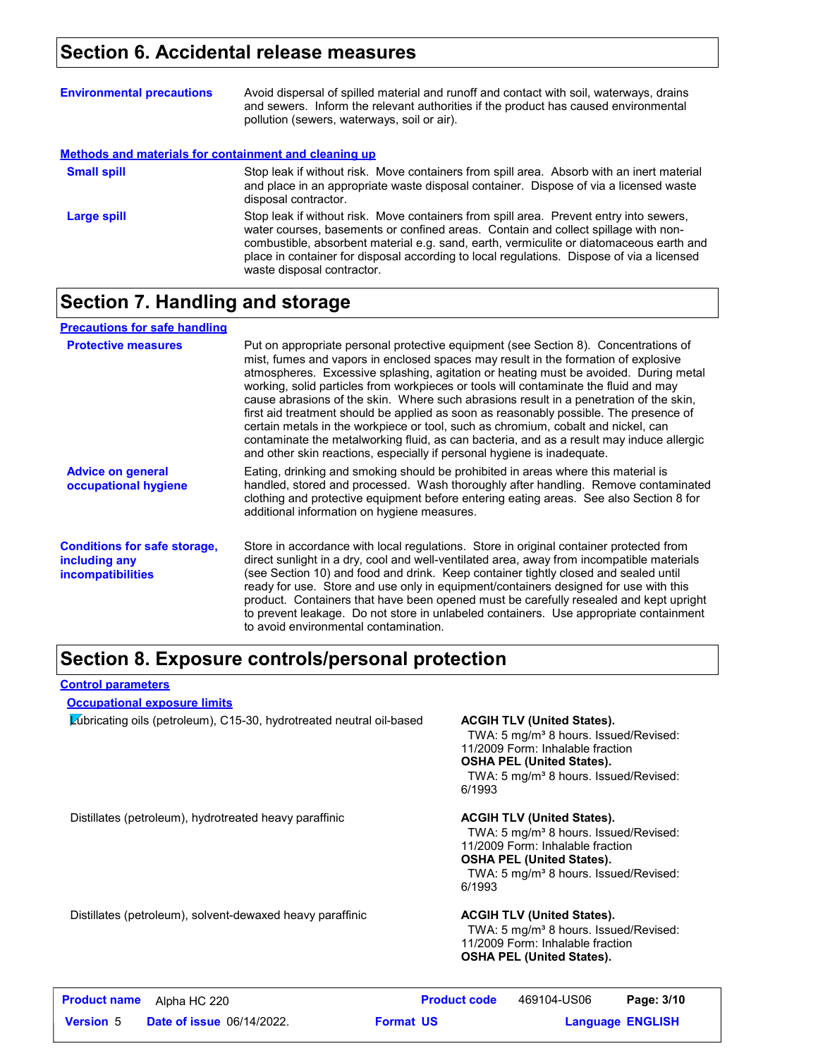## **Section 6. Accidental release measures**

| <b>Environmental precautions</b>                      | Avoid dispersal of spilled material and runoff and contact with soil, waterways, drains<br>and sewers. Inform the relevant authorities if the product has caused environmental<br>pollution (sewers, waterways, soil or air).                                                                                                                                                                      |
|-------------------------------------------------------|----------------------------------------------------------------------------------------------------------------------------------------------------------------------------------------------------------------------------------------------------------------------------------------------------------------------------------------------------------------------------------------------------|
| Methods and materials for containment and cleaning up |                                                                                                                                                                                                                                                                                                                                                                                                    |
| <b>Small spill</b>                                    | Stop leak if without risk. Move containers from spill area. Absorb with an inert material<br>and place in an appropriate waste disposal container. Dispose of via a licensed waste<br>disposal contractor.                                                                                                                                                                                         |
| Large spill                                           | Stop leak if without risk. Move containers from spill area. Prevent entry into sewers,<br>water courses, basements or confined areas. Contain and collect spillage with non-<br>combustible, absorbent material e.g. sand, earth, vermiculite or diatomaceous earth and<br>place in container for disposal according to local regulations. Dispose of via a licensed<br>waste disposal contractor. |

## **Section 7. Handling and storage**

| <b>Precautions for safe handling</b>                                             |                                                                                                                                                                                                                                                                                                                                                                                                                                                                                                                                                                                                                                                                                                                                                                                                          |
|----------------------------------------------------------------------------------|----------------------------------------------------------------------------------------------------------------------------------------------------------------------------------------------------------------------------------------------------------------------------------------------------------------------------------------------------------------------------------------------------------------------------------------------------------------------------------------------------------------------------------------------------------------------------------------------------------------------------------------------------------------------------------------------------------------------------------------------------------------------------------------------------------|
| <b>Protective measures</b>                                                       | Put on appropriate personal protective equipment (see Section 8). Concentrations of<br>mist, fumes and vapors in enclosed spaces may result in the formation of explosive<br>atmospheres. Excessive splashing, agitation or heating must be avoided. During metal<br>working, solid particles from workpieces or tools will contaminate the fluid and may<br>cause abrasions of the skin. Where such abrasions result in a penetration of the skin,<br>first aid treatment should be applied as soon as reasonably possible. The presence of<br>certain metals in the workpiece or tool, such as chromium, cobalt and nickel, can<br>contaminate the metalworking fluid, as can bacteria, and as a result may induce allergic<br>and other skin reactions, especially if personal hygiene is inadequate. |
| <b>Advice on general</b><br>occupational hygiene                                 | Eating, drinking and smoking should be prohibited in areas where this material is<br>handled, stored and processed. Wash thoroughly after handling. Remove contaminated<br>clothing and protective equipment before entering eating areas. See also Section 8 for<br>additional information on hygiene measures.                                                                                                                                                                                                                                                                                                                                                                                                                                                                                         |
| <b>Conditions for safe storage,</b><br>including any<br><i>incompatibilities</i> | Store in accordance with local regulations. Store in original container protected from<br>direct sunlight in a dry, cool and well-ventilated area, away from incompatible materials<br>(see Section 10) and food and drink. Keep container tightly closed and sealed until<br>ready for use. Store and use only in equipment/containers designed for use with this<br>product. Containers that have been opened must be carefully resealed and kept upright<br>to prevent leakage. Do not store in unlabeled containers. Use appropriate containment<br>to avoid environmental contamination.                                                                                                                                                                                                            |

## **Section 8. Exposure controls/personal protection**

#### **Control parameters**

#### **Occupational exposure limits**

Lubricating oils (petroleum), C15-30, hydrotreated neutral oil-based **ACGIH TLV (United States).**

TWA: 5 mg/m<sup>3</sup> 8 hours. Issued/Revised: 11/2009 Form: Inhalable fraction **OSHA PEL (United States).**

TWA: 5 mg/m<sup>3</sup> 8 hours. Issued/Revised: 6/1993

Distillates (petroleum), hydrotreated heavy paraffinic **ACGIH TLV (United States).**

TWA: 5 mg/m<sup>3</sup> 8 hours. Issued/Revised: 11/2009 Form: Inhalable fraction **OSHA PEL (United States).** TWA: 5 mg/m<sup>3</sup> 8 hours. Issued/Revised: 6/1993

Distillates (petroleum), solvent-dewaxed heavy paraffinic **ACGIH TLV (United States).**

TWA: 5 mg/m<sup>3</sup> 8 hours. Issued/Revised: 11/2009 Form: Inhalable fraction **OSHA PEL (United States).**

| <b>Product name</b> | Alpha HC 220                     |                  | <b>Product code</b> | 469104-US06             | Page: 3/10 |  |
|---------------------|----------------------------------|------------------|---------------------|-------------------------|------------|--|
| <b>Version</b> 5    | <b>Date of issue 06/14/2022.</b> | <b>Format US</b> |                     | <b>Language ENGLISH</b> |            |  |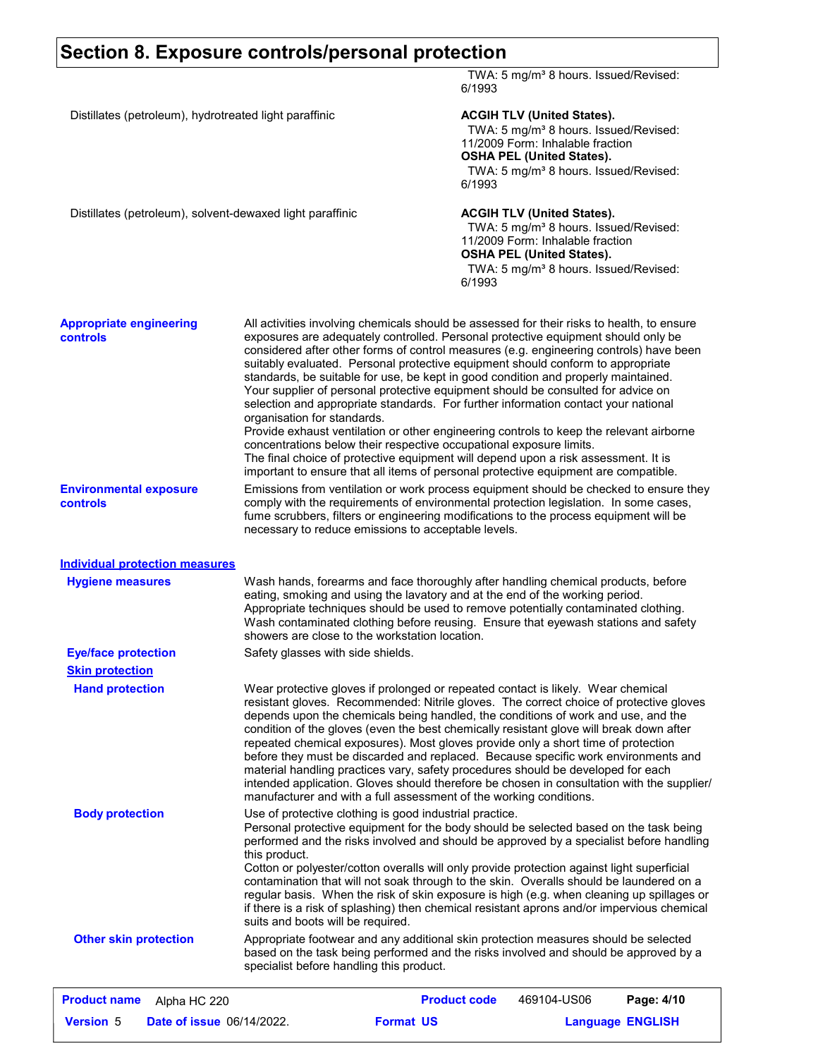## **Section 8. Exposure controls/personal protection**

|                                                           |                                                    | 6/1993                                                                                                                                                                                                                                                                                                                                                                                                                                                                                                                                                                                                                                                                                                                                                                                                                                                                                                                                                                      | TWA: 5 mg/m <sup>3</sup> 8 hours. Issued/Revised:                                                                                                                                                                   |                         |
|-----------------------------------------------------------|----------------------------------------------------|-----------------------------------------------------------------------------------------------------------------------------------------------------------------------------------------------------------------------------------------------------------------------------------------------------------------------------------------------------------------------------------------------------------------------------------------------------------------------------------------------------------------------------------------------------------------------------------------------------------------------------------------------------------------------------------------------------------------------------------------------------------------------------------------------------------------------------------------------------------------------------------------------------------------------------------------------------------------------------|---------------------------------------------------------------------------------------------------------------------------------------------------------------------------------------------------------------------|-------------------------|
| Distillates (petroleum), hydrotreated light paraffinic    |                                                    | 6/1993                                                                                                                                                                                                                                                                                                                                                                                                                                                                                                                                                                                                                                                                                                                                                                                                                                                                                                                                                                      | <b>ACGIH TLV (United States).</b><br>TWA: 5 mg/m <sup>3</sup> 8 hours. Issued/Revised:<br>11/2009 Form: Inhalable fraction<br><b>OSHA PEL (United States).</b><br>TWA: 5 mg/m <sup>3</sup> 8 hours. Issued/Revised: |                         |
| Distillates (petroleum), solvent-dewaxed light paraffinic |                                                    | 6/1993                                                                                                                                                                                                                                                                                                                                                                                                                                                                                                                                                                                                                                                                                                                                                                                                                                                                                                                                                                      | <b>ACGIH TLV (United States).</b><br>TWA: 5 mg/m <sup>3</sup> 8 hours. Issued/Revised:<br>11/2009 Form: Inhalable fraction<br><b>OSHA PEL (United States).</b><br>TWA: 5 mg/m <sup>3</sup> 8 hours. Issued/Revised: |                         |
| <b>Appropriate engineering</b><br><b>controls</b>         | organisation for standards.                        | All activities involving chemicals should be assessed for their risks to health, to ensure<br>exposures are adequately controlled. Personal protective equipment should only be<br>considered after other forms of control measures (e.g. engineering controls) have been<br>suitably evaluated. Personal protective equipment should conform to appropriate<br>standards, be suitable for use, be kept in good condition and properly maintained.<br>Your supplier of personal protective equipment should be consulted for advice on<br>selection and appropriate standards. For further information contact your national<br>Provide exhaust ventilation or other engineering controls to keep the relevant airborne<br>concentrations below their respective occupational exposure limits.<br>The final choice of protective equipment will depend upon a risk assessment. It is<br>important to ensure that all items of personal protective equipment are compatible. |                                                                                                                                                                                                                     |                         |
| <b>Environmental exposure</b><br>controls                 |                                                    | Emissions from ventilation or work process equipment should be checked to ensure they<br>comply with the requirements of environmental protection legislation. In some cases,<br>fume scrubbers, filters or engineering modifications to the process equipment will be<br>necessary to reduce emissions to acceptable levels.                                                                                                                                                                                                                                                                                                                                                                                                                                                                                                                                                                                                                                               |                                                                                                                                                                                                                     |                         |
| <b>Individual protection measures</b>                     |                                                    |                                                                                                                                                                                                                                                                                                                                                                                                                                                                                                                                                                                                                                                                                                                                                                                                                                                                                                                                                                             |                                                                                                                                                                                                                     |                         |
| <b>Hygiene measures</b>                                   |                                                    | Wash hands, forearms and face thoroughly after handling chemical products, before<br>eating, smoking and using the lavatory and at the end of the working period.<br>Appropriate techniques should be used to remove potentially contaminated clothing.<br>Wash contaminated clothing before reusing. Ensure that eyewash stations and safety<br>showers are close to the workstation location.                                                                                                                                                                                                                                                                                                                                                                                                                                                                                                                                                                             |                                                                                                                                                                                                                     |                         |
| <b>Eye/face protection</b>                                | Safety glasses with side shields.                  |                                                                                                                                                                                                                                                                                                                                                                                                                                                                                                                                                                                                                                                                                                                                                                                                                                                                                                                                                                             |                                                                                                                                                                                                                     |                         |
| <b>Skin protection</b>                                    |                                                    |                                                                                                                                                                                                                                                                                                                                                                                                                                                                                                                                                                                                                                                                                                                                                                                                                                                                                                                                                                             |                                                                                                                                                                                                                     |                         |
| <b>Hand protection</b>                                    |                                                    | Wear protective gloves if prolonged or repeated contact is likely. Wear chemical<br>resistant gloves. Recommended: Nitrile gloves. The correct choice of protective gloves<br>depends upon the chemicals being handled, the conditions of work and use, and the<br>condition of the gloves (even the best chemically resistant glove will break down after<br>repeated chemical exposures). Most gloves provide only a short time of protection<br>before they must be discarded and replaced. Because specific work environments and<br>material handling practices vary, safety procedures should be developed for each<br>intended application. Gloves should therefore be chosen in consultation with the supplier/<br>manufacturer and with a full assessment of the working conditions.                                                                                                                                                                               |                                                                                                                                                                                                                     |                         |
| <b>Body protection</b>                                    | this product.<br>suits and boots will be required. | Use of protective clothing is good industrial practice.<br>Personal protective equipment for the body should be selected based on the task being<br>performed and the risks involved and should be approved by a specialist before handling<br>Cotton or polyester/cotton overalls will only provide protection against light superficial<br>contamination that will not soak through to the skin. Overalls should be laundered on a<br>regular basis. When the risk of skin exposure is high (e.g. when cleaning up spillages or<br>if there is a risk of splashing) then chemical resistant aprons and/or impervious chemical                                                                                                                                                                                                                                                                                                                                             |                                                                                                                                                                                                                     |                         |
| <b>Other skin protection</b>                              | specialist before handling this product.           | Appropriate footwear and any additional skin protection measures should be selected<br>based on the task being performed and the risks involved and should be approved by a                                                                                                                                                                                                                                                                                                                                                                                                                                                                                                                                                                                                                                                                                                                                                                                                 |                                                                                                                                                                                                                     |                         |
| <b>Product name</b><br>Alpha HC 220                       |                                                    | <b>Product code</b>                                                                                                                                                                                                                                                                                                                                                                                                                                                                                                                                                                                                                                                                                                                                                                                                                                                                                                                                                         | 469104-US06                                                                                                                                                                                                         | Page: 4/10              |
| <b>Version 5</b><br><b>Date of issue 06/14/2022.</b>      |                                                    | <b>Format US</b>                                                                                                                                                                                                                                                                                                                                                                                                                                                                                                                                                                                                                                                                                                                                                                                                                                                                                                                                                            |                                                                                                                                                                                                                     | <b>Language ENGLISH</b> |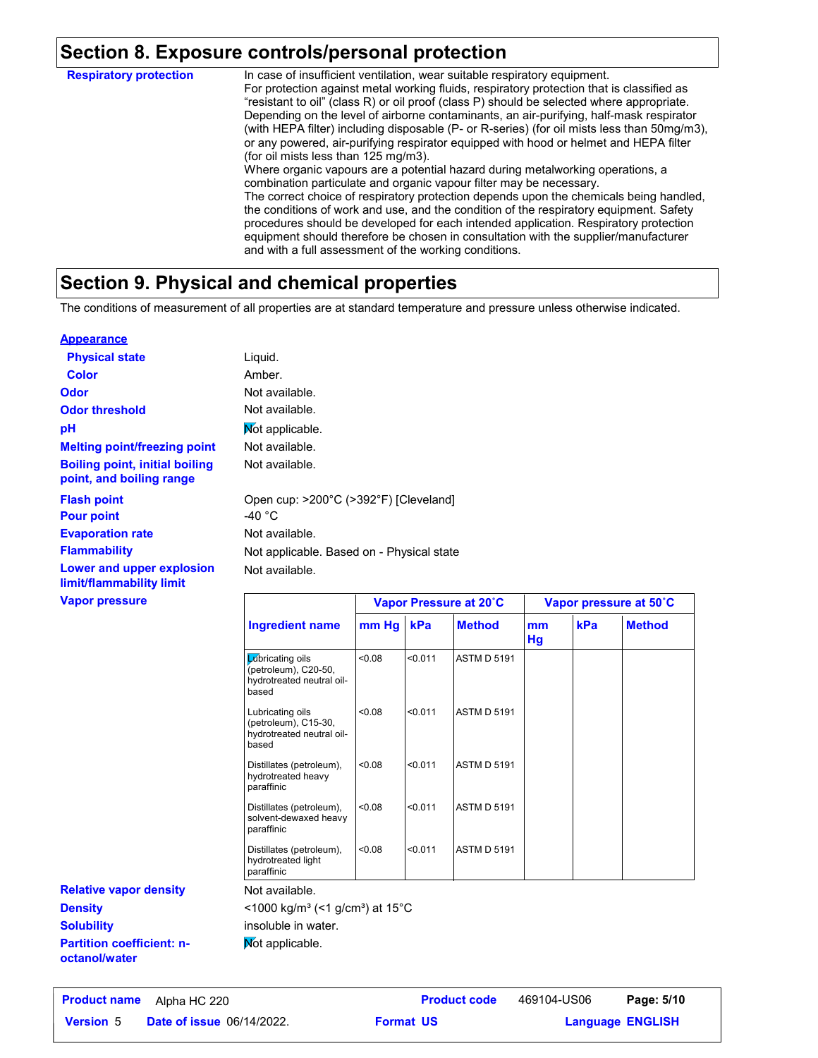### **Section 8. Exposure controls/personal protection**

In case of insufficient ventilation, wear suitable respiratory equipment. For protection against metal working fluids, respiratory protection that is classified as "resistant to oil" (class R) or oil proof (class P) should be selected where appropriate. Depending on the level of airborne contaminants, an air-purifying, half-mask respirator (with HEPA filter) including disposable (P- or R-series) (for oil mists less than 50mg/m3), or any powered, air-purifying respirator equipped with hood or helmet and HEPA filter (for oil mists less than 125 mg/m3). Where organic vapours are a potential hazard during metalworking operations, a combination particulate and organic vapour filter may be necessary. The correct choice of respiratory protection depends upon the chemicals being handled, the conditions of work and use, and the condition of the respiratory equipment. Safety procedures should be developed for each intended application. Respiratory protection equipment should therefore be chosen in consultation with the supplier/manufacturer and with a full assessment of the working conditions. **Respiratory protection**

## **Section 9. Physical and chemical properties**

The conditions of measurement of all properties are at standard temperature and pressure unless otherwise indicated.

#### **Appearance**

| <b>Physical state</b>                                             | Liquid.                                                   |                        |  |
|-------------------------------------------------------------------|-----------------------------------------------------------|------------------------|--|
| <b>Color</b>                                                      | Amber.                                                    |                        |  |
| <b>Odor</b>                                                       | Not available.                                            |                        |  |
| <b>Odor threshold</b>                                             | Not available.                                            |                        |  |
| рH                                                                | Mot applicable.                                           |                        |  |
| <b>Melting point/freezing point</b>                               | Not available.                                            |                        |  |
| <b>Boiling point, initial boiling</b><br>point, and boiling range | Not available.                                            |                        |  |
| <b>Flash point</b><br><b>Pour point</b>                           | Open cup: >200°C (>392°F) [Cleveland]<br>-40 $^{\circ}$ C |                        |  |
| <b>Evaporation rate</b>                                           | Not available.                                            |                        |  |
| <b>Flammability</b>                                               | Not applicable. Based on - Physical state                 |                        |  |
| Lower and upper explosion<br>limit/flammability limit             | Not available.                                            |                        |  |
| <b>Vapor pressure</b>                                             |                                                           | Vanor Pressure at 20°C |  |

|                                                                                | Vapor Pressure at 20°C |         |                    | Vapor pressure at 50°C |     |               |
|--------------------------------------------------------------------------------|------------------------|---------|--------------------|------------------------|-----|---------------|
| <b>Ingredient name</b>                                                         | mm Hg                  | kPa     | <b>Method</b>      | mm<br>Hg               | kPa | <b>Method</b> |
| Lubricating oils<br>(petroleum), C20-50,<br>hydrotreated neutral oil-<br>based | 0.08                   | < 0.011 | <b>ASTM D 5191</b> |                        |     |               |
| Lubricating oils<br>(petroleum), C15-30,<br>hydrotreated neutral oil-<br>based | 0.08                   | < 0.011 | ASTM D 5191        |                        |     |               |
| Distillates (petroleum),<br>hydrotreated heavy<br>paraffinic                   | < 0.08                 | < 0.011 | <b>ASTM D 5191</b> |                        |     |               |
| Distillates (petroleum),<br>solvent-dewaxed heavy<br>paraffinic                | 0.08                   | < 0.011 | ASTM D 5191        |                        |     |               |
| Distillates (petroleum),<br>hydrotreated light<br>paraffinic                   | < 0.08                 | < 0.011 | ASTM D 5191        |                        |     |               |

**Partition coefficient: noctanol/water Density Solubility Relative vapor density**

#### Not available.

 $<$ 1000 kg/m<sup>3</sup> (<1 g/cm<sup>3</sup>) at 15 $^{\circ}$ C

insoluble in water.

Not applicable.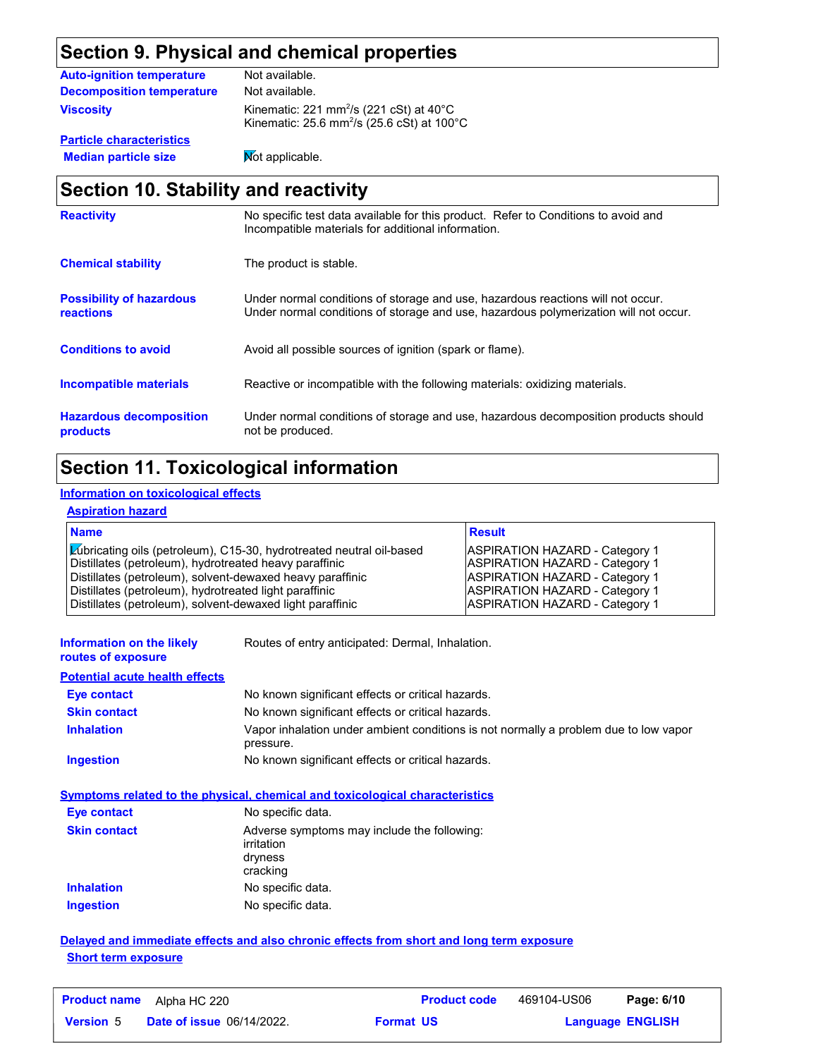## **Section 9. Physical and chemical properties**

| <b>Auto-ignition temperature</b> | Not available.                                                                                                                         |
|----------------------------------|----------------------------------------------------------------------------------------------------------------------------------------|
| <b>Decomposition temperature</b> | Not available.                                                                                                                         |
| <b>Viscosity</b>                 | Kinematic: 221 mm <sup>2</sup> /s (221 cSt) at $40^{\circ}$ C<br>Kinematic: $25.6$ mm <sup>2</sup> /s ( $25.6$ cSt) at $100^{\circ}$ C |
| <b>Particle characteristics</b>  |                                                                                                                                        |

**Median particle size** Not applicable.

## **Section 10. Stability and reactivity**

| <b>Reactivity</b>                            | No specific test data available for this product. Refer to Conditions to avoid and<br>Incompatible materials for additional information.                                |
|----------------------------------------------|-------------------------------------------------------------------------------------------------------------------------------------------------------------------------|
| <b>Chemical stability</b>                    | The product is stable.                                                                                                                                                  |
| <b>Possibility of hazardous</b><br>reactions | Under normal conditions of storage and use, hazardous reactions will not occur.<br>Under normal conditions of storage and use, hazardous polymerization will not occur. |
| <b>Conditions to avoid</b>                   | Avoid all possible sources of ignition (spark or flame).                                                                                                                |
| Incompatible materials                       | Reactive or incompatible with the following materials: oxidizing materials.                                                                                             |
| <b>Hazardous decomposition</b><br>products   | Under normal conditions of storage and use, hazardous decomposition products should<br>not be produced.                                                                 |

## **Section 11. Toxicological information**

#### **Information on toxicological effects**

#### **Aspiration hazard**

| <b>Name</b>                                                          | <b>Result</b>                         |
|----------------------------------------------------------------------|---------------------------------------|
| Lúbricating oils (petroleum), C15-30, hydrotreated neutral oil-based | <b>ASPIRATION HAZARD - Category 1</b> |
| Distillates (petroleum), hydrotreated heavy paraffinic               | <b>ASPIRATION HAZARD - Category 1</b> |
| Distillates (petroleum), solvent-dewaxed heavy paraffinic            | <b>ASPIRATION HAZARD - Category 1</b> |
| Distillates (petroleum), hydrotreated light paraffinic               | <b>ASPIRATION HAZARD - Category 1</b> |
| Distillates (petroleum), solvent-dewaxed light paraffinic            | ASPIRATION HAZARD - Category 1        |

| Information on the likely |  |  |
|---------------------------|--|--|
| routes of exposure        |  |  |

Routes of entry anticipated: Dermal, Inhalation.

#### **Potential acute health effects**

| <b>Eve contact</b>  | No known significant effects or critical hazards.                                                 |
|---------------------|---------------------------------------------------------------------------------------------------|
| <b>Skin contact</b> | No known significant effects or critical hazards.                                                 |
| <b>Inhalation</b>   | Vapor inhalation under ambient conditions is not normally a problem due to low vapor<br>pressure. |
| Ingestion           | No known significant effects or critical hazards.                                                 |

#### **Symptoms related to the physical, chemical and toxicological characteristics**

| Eye contact         | No specific data.                                                                |
|---------------------|----------------------------------------------------------------------------------|
| <b>Skin contact</b> | Adverse symptoms may include the following:<br>irritation<br>dryness<br>cracking |
| <b>Inhalation</b>   | No specific data.                                                                |
| <b>Ingestion</b>    | No specific data.                                                                |

#### **Delayed and immediate effects and also chronic effects from short and long term exposure Short term exposure**

| <b>Product name</b> | Alpha HC 220                     |                  | <b>Product code</b> | 469104-US06             | Page: 6/10 |  |
|---------------------|----------------------------------|------------------|---------------------|-------------------------|------------|--|
| <b>Version 5</b>    | <b>Date of issue 06/14/2022.</b> | <b>Format US</b> |                     | <b>Language ENGLISH</b> |            |  |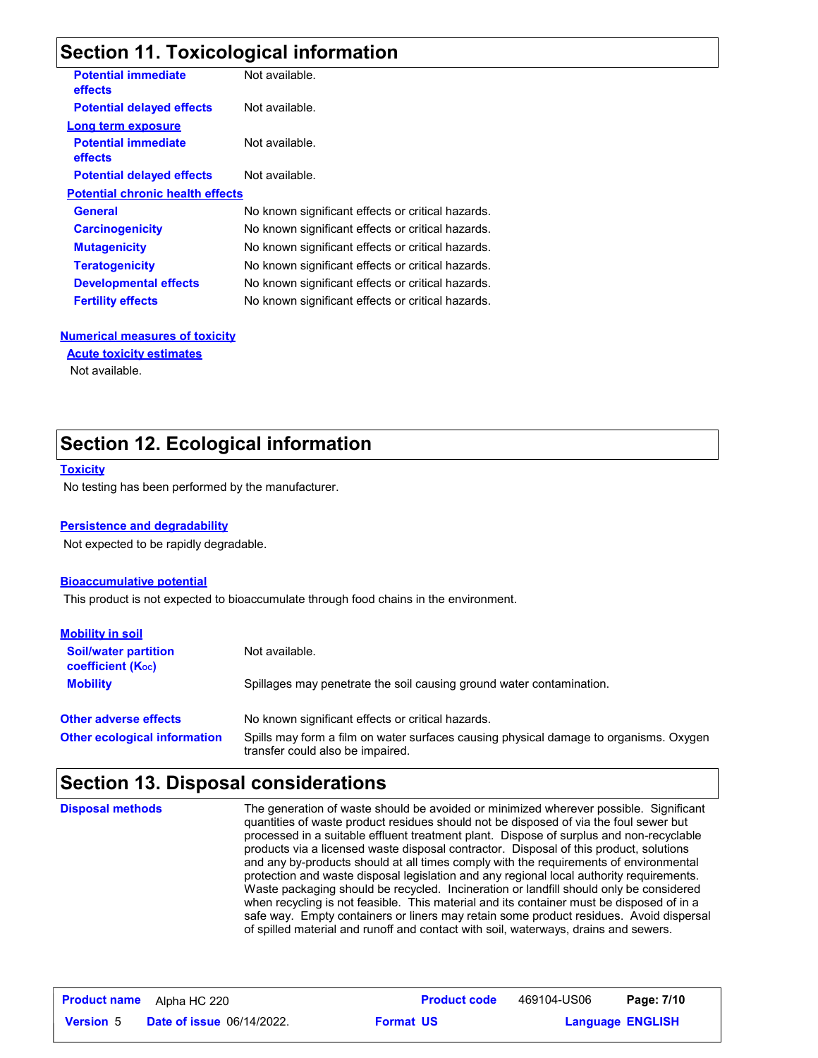## **Section 11. Toxicological information**

| <b>Potential immediate</b><br><b>effects</b> | Not available.                                    |
|----------------------------------------------|---------------------------------------------------|
| <b>Potential delayed effects</b>             | Not available.                                    |
| Long term exposure                           |                                                   |
| <b>Potential immediate</b><br><b>effects</b> | Not available.                                    |
| <b>Potential delayed effects</b>             | Not available.                                    |
| <b>Potential chronic health effects</b>      |                                                   |
| General                                      | No known significant effects or critical hazards. |
| <b>Carcinogenicity</b>                       | No known significant effects or critical hazards. |
| <b>Mutagenicity</b>                          | No known significant effects or critical hazards. |
| <b>Teratogenicity</b>                        | No known significant effects or critical hazards. |
| <b>Developmental effects</b>                 | No known significant effects or critical hazards. |
| <b>Fertility effects</b>                     | No known significant effects or critical hazards. |
|                                              |                                                   |

#### **Numerical measures of toxicity**

#### **Acute toxicity estimates**

Not available.

### **Section 12. Ecological information**

#### **Toxicity**

No testing has been performed by the manufacturer.

#### **Persistence and degradability**

Not expected to be rapidly degradable.

#### **Bioaccumulative potential**

This product is not expected to bioaccumulate through food chains in the environment.

| <b>Mobility in soil</b>                                 |                                                                                                                           |
|---------------------------------------------------------|---------------------------------------------------------------------------------------------------------------------------|
| <b>Soil/water partition</b><br><b>coefficient (Koc)</b> | Not available.                                                                                                            |
| <b>Mobility</b>                                         | Spillages may penetrate the soil causing ground water contamination.                                                      |
| <b>Other adverse effects</b>                            | No known significant effects or critical hazards.                                                                         |
| <b>Other ecological information</b>                     | Spills may form a film on water surfaces causing physical damage to organisms. Oxygen<br>transfer could also be impaired. |

## **Section 13. Disposal considerations**

The generation of waste should be avoided or minimized wherever possible. Significant quantities of waste product residues should not be disposed of via the foul sewer but processed in a suitable effluent treatment plant. Dispose of surplus and non-recyclable products via a licensed waste disposal contractor. Disposal of this product, solutions and any by-products should at all times comply with the requirements of environmental protection and waste disposal legislation and any regional local authority requirements. Waste packaging should be recycled. Incineration or landfill should only be considered when recycling is not feasible. This material and its container must be disposed of in a safe way. Empty containers or liners may retain some product residues. Avoid dispersal of spilled material and runoff and contact with soil, waterways, drains and sewers. **Disposal methods**

| <b>Product name</b> | Alpha HC 220                     |                  | <b>Product code</b> | 469104-US06             | Page: 7/10 |  |
|---------------------|----------------------------------|------------------|---------------------|-------------------------|------------|--|
| <b>Version 5</b>    | <b>Date of issue 06/14/2022.</b> | <b>Format US</b> |                     | <b>Language ENGLISH</b> |            |  |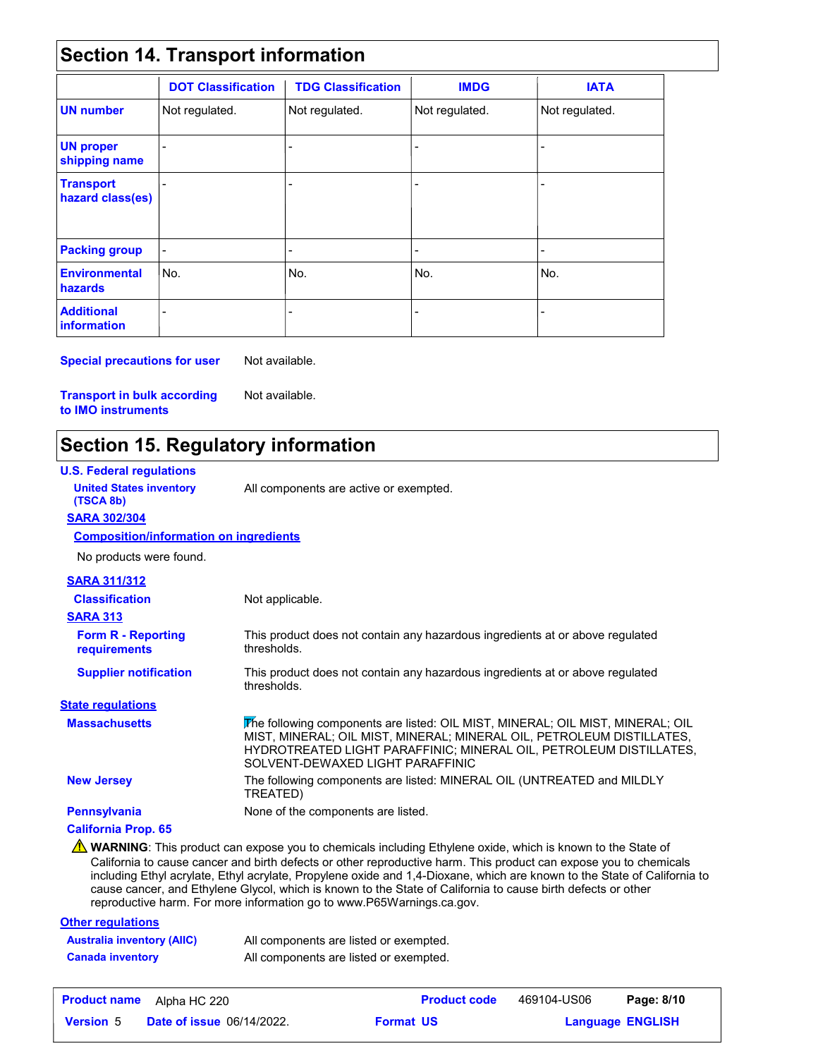## **Section 14. Transport information**

|                                      | <b>DOT Classification</b> | <b>TDG Classification</b> | <b>IMDG</b>    | <b>IATA</b>              |
|--------------------------------------|---------------------------|---------------------------|----------------|--------------------------|
| <b>UN</b> number                     | Not regulated.            | Not regulated.            | Not regulated. | Not regulated.           |
| <b>UN proper</b><br>shipping name    |                           |                           |                |                          |
| <b>Transport</b><br>hazard class(es) |                           |                           |                |                          |
| <b>Packing group</b>                 | $\blacksquare$            |                           | $\,$           | $\overline{\phantom{0}}$ |
| <b>Environmental</b><br>hazards      | No.                       | No.                       | No.            | lNo.                     |
| <b>Additional</b><br>information     |                           |                           |                |                          |

**Special precautions for user** Not available.

Not available.

**Transport in bulk according to IMO instruments**

## **Section 15. Regulatory information**

| <b>U.S. Federal regulations</b>               |                                                                                                                                                                                                                                                                                                                                                                                                                                                                                                                                                        |
|-----------------------------------------------|--------------------------------------------------------------------------------------------------------------------------------------------------------------------------------------------------------------------------------------------------------------------------------------------------------------------------------------------------------------------------------------------------------------------------------------------------------------------------------------------------------------------------------------------------------|
| <b>United States inventory</b><br>(TSCA 8b)   | All components are active or exempted.                                                                                                                                                                                                                                                                                                                                                                                                                                                                                                                 |
| <b>SARA 302/304</b>                           |                                                                                                                                                                                                                                                                                                                                                                                                                                                                                                                                                        |
| <b>Composition/information on ingredients</b> |                                                                                                                                                                                                                                                                                                                                                                                                                                                                                                                                                        |
| No products were found.                       |                                                                                                                                                                                                                                                                                                                                                                                                                                                                                                                                                        |
| <b>SARA 311/312</b>                           |                                                                                                                                                                                                                                                                                                                                                                                                                                                                                                                                                        |
| <b>Classification</b>                         | Not applicable.                                                                                                                                                                                                                                                                                                                                                                                                                                                                                                                                        |
| <b>SARA 313</b>                               |                                                                                                                                                                                                                                                                                                                                                                                                                                                                                                                                                        |
| <b>Form R - Reporting</b><br>requirements     | This product does not contain any hazardous ingredients at or above regulated<br>thresholds.                                                                                                                                                                                                                                                                                                                                                                                                                                                           |
| <b>Supplier notification</b>                  | This product does not contain any hazardous ingredients at or above regulated<br>thresholds.                                                                                                                                                                                                                                                                                                                                                                                                                                                           |
| <b>State regulations</b>                      |                                                                                                                                                                                                                                                                                                                                                                                                                                                                                                                                                        |
| <b>Massachusetts</b>                          | The following components are listed: OIL MIST, MINERAL; OIL MIST, MINERAL; OIL<br>MIST, MINERAL; OIL MIST, MINERAL; MINERAL OIL, PETROLEUM DISTILLATES,<br>HYDROTREATED LIGHT PARAFFINIC; MINERAL OIL, PETROLEUM DISTILLATES,<br>SOLVENT-DEWAXED LIGHT PARAFFINIC                                                                                                                                                                                                                                                                                      |
| <b>New Jersey</b>                             | The following components are listed: MINERAL OIL (UNTREATED and MILDLY<br>TREATED)                                                                                                                                                                                                                                                                                                                                                                                                                                                                     |
| <b>Pennsylvania</b>                           | None of the components are listed.                                                                                                                                                                                                                                                                                                                                                                                                                                                                                                                     |
| <b>California Prop. 65</b>                    |                                                                                                                                                                                                                                                                                                                                                                                                                                                                                                                                                        |
|                                               | A WARNING: This product can expose you to chemicals including Ethylene oxide, which is known to the State of<br>California to cause cancer and birth defects or other reproductive harm. This product can expose you to chemicals<br>including Ethyl acrylate, Ethyl acrylate, Propylene oxide and 1,4-Dioxane, which are known to the State of California to<br>cause cancer, and Ethylene Glycol, which is known to the State of California to cause birth defects or other<br>reproductive harm. For more information go to www.P65Warnings.ca.gov. |

#### **Other regulations Australia inventory (AIIC)** All components are listed or exempted. **Canada inventory** All components are listed or exempted.

| <b>Product name</b> | Alpha HC 220                     | <b>Product code</b> | 469104-US06             | Page: 8/10 |
|---------------------|----------------------------------|---------------------|-------------------------|------------|
| <b>Version 5</b>    | <b>Date of issue 06/14/2022.</b> | <b>Format US</b>    | <b>Language ENGLISH</b> |            |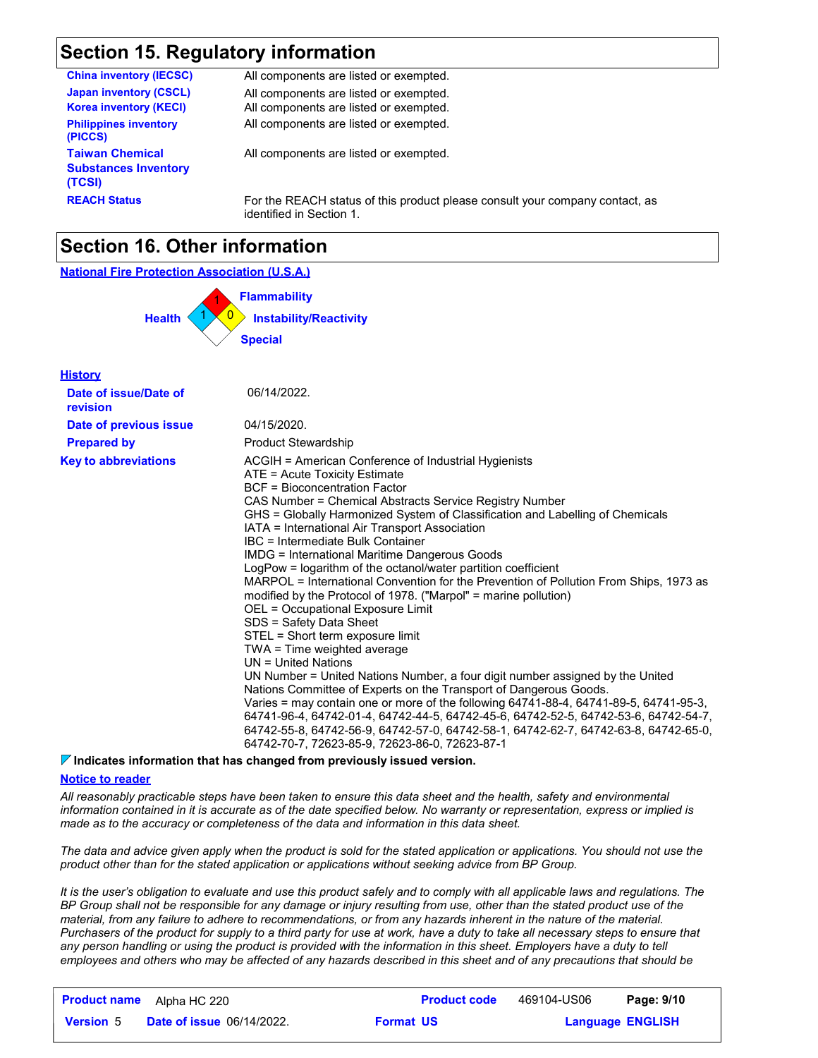## **Section 15. Regulatory information**

| <b>China inventory (IECSC)</b>                                  | All components are listed or exempted.                                                                   |
|-----------------------------------------------------------------|----------------------------------------------------------------------------------------------------------|
| <b>Japan inventory (CSCL)</b><br><b>Korea inventory (KECI)</b>  | All components are listed or exempted.<br>All components are listed or exempted.                         |
| <b>Philippines inventory</b><br>(PICCS)                         | All components are listed or exempted.                                                                   |
| <b>Taiwan Chemical</b><br><b>Substances Inventory</b><br>(TCSI) | All components are listed or exempted.                                                                   |
| <b>REACH Status</b>                                             | For the REACH status of this product please consult your company contact, as<br>identified in Section 1. |

## **Section 16. Other information**



#### **Indicates information that has changed from previously issued version.**

#### **Notice to reader**

*All reasonably practicable steps have been taken to ensure this data sheet and the health, safety and environmental information contained in it is accurate as of the date specified below. No warranty or representation, express or implied is made as to the accuracy or completeness of the data and information in this data sheet.*

*The data and advice given apply when the product is sold for the stated application or applications. You should not use the product other than for the stated application or applications without seeking advice from BP Group.*

*It is the user's obligation to evaluate and use this product safely and to comply with all applicable laws and regulations. The BP Group shall not be responsible for any damage or injury resulting from use, other than the stated product use of the material, from any failure to adhere to recommendations, or from any hazards inherent in the nature of the material. Purchasers of the product for supply to a third party for use at work, have a duty to take all necessary steps to ensure that*  any person handling or using the product is provided with the information in this sheet. Employers have a duty to tell *employees and others who may be affected of any hazards described in this sheet and of any precautions that should be* 

|                  | <b>Product name</b> Alpha HC 220 |                  | <b>Product code</b> | 469104-US06             | Page: 9/10 |
|------------------|----------------------------------|------------------|---------------------|-------------------------|------------|
| <b>Version</b> 5 | <b>Date of issue 06/14/2022.</b> | <b>Format US</b> |                     | <b>Language ENGLISH</b> |            |